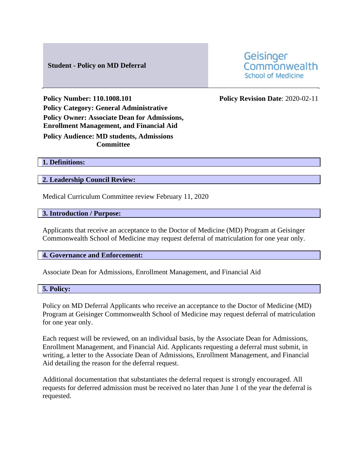# **Student - Policy on MD Deferral**

Geisinger Commonwealth **School of Medicine** 

**Policy Number: 110.1008.101 Policy Revision Date**: 2020-02-11 **Policy Category: General Administrative Policy Owner: Associate Dean for Admissions, Enrollment Management, and Financial Aid**

**Policy Audience: MD students, Admissions Committee**

**1. Definitions:** 

**2. Leadership Council Review:** 

Medical Curriculum Committee review February 11, 2020

**3. Introduction / Purpose:** 

Applicants that receive an acceptance to the Doctor of Medicine (MD) Program at Geisinger Commonwealth School of Medicine may request deferral of matriculation for one year only.

#### **4. Governance and Enforcement:**

Associate Dean for Admissions, Enrollment Management, and Financial Aid

### **5. Policy:**

Policy on MD Deferral Applicants who receive an acceptance to the Doctor of Medicine (MD) Program at Geisinger Commonwealth School of Medicine may request deferral of matriculation for one year only.

Each request will be reviewed, on an individual basis, by the Associate Dean for Admissions, Enrollment Management, and Financial Aid. Applicants requesting a deferral must submit, in writing, a letter to the Associate Dean of Admissions, Enrollment Management, and Financial Aid detailing the reason for the deferral request.

Additional documentation that substantiates the deferral request is strongly encouraged. All requests for deferred admission must be received no later than June 1 of the year the deferral is requested.